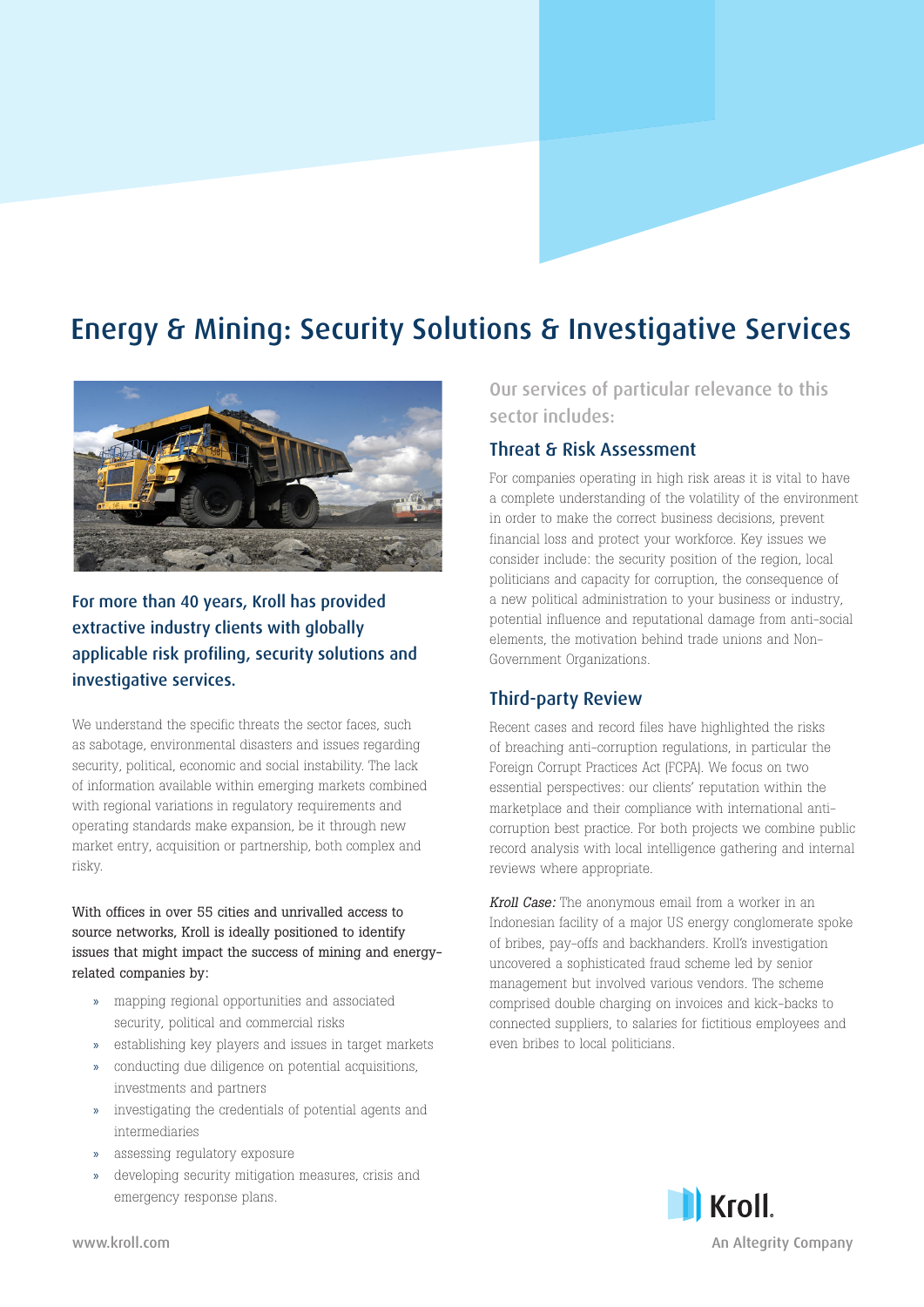# Energy & Mining: Security Solutions & Investigative Services



# For more than 40 years, Kroll has provided extractive industry clients with globally applicable risk profiling, security solutions and investigative services.

We understand the specific threats the sector faces, such as sabotage, environmental disasters and issues regarding security, political, economic and social instability. The lack of information available within emerging markets combined with regional variations in regulatory requirements and operating standards make expansion, be it through new market entry, acquisition or partnership, both complex and risky.

With offices in over 55 cities and unrivalled access to source networks, Kroll is ideally positioned to identify issues that might impact the success of mining and energyrelated companies by:

- » mapping regional opportunities and associated security, political and commercial risks
- » establishing key players and issues in target markets
- » conducting due diligence on potential acquisitions, investments and partners
- » investigating the credentials of potential agents and intermediaries
- » assessing regulatory exposure
- » developing security mitigation measures, crisis and emergency response plans.

Our services of particular relevance to this sector includes:

### Threat & Risk Assessment

For companies operating in high risk areas it is vital to have a complete understanding of the volatility of the environment in order to make the correct business decisions, prevent financial loss and protect your workforce. Key issues we consider include: the security position of the region, local politicians and capacity for corruption, the consequence of a new political administration to your business or industry, potential influence and reputational damage from anti-social elements, the motivation behind trade unions and Non-Government Organizations.

# Third-party Review

Recent cases and record files have highlighted the risks of breaching anti-corruption regulations, in particular the Foreign Corrupt Practices Act (FCPA). We focus on two essential perspectives: our clients' reputation within the marketplace and their compliance with international anticorruption best practice. For both projects we combine public record analysis with local intelligence gathering and internal reviews where appropriate.

Kroll Case: The anonymous email from a worker in an Indonesian facility of a major US energy conglomerate spoke of bribes, pay-offs and backhanders. Kroll's investigation uncovered a sophisticated fraud scheme led by senior management but involved various vendors. The scheme comprised double charging on invoices and kick-backs to connected suppliers, to salaries for fictitious employees and even bribes to local politicians.